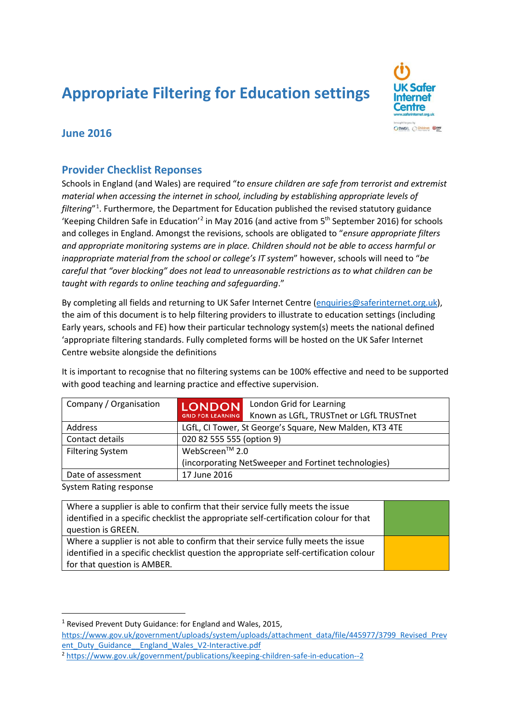# **Appropriate Filtering for Education settings**



## **June 2016**

#### **Provider Checklist Reponses**

Schools in England (and Wales) are required "*to ensure children are safe from terrorist and extremist material when accessing the internet in school, including by establishing appropriate levels of filtering*"[1](#page-0-0) . Furthermore, the Department for Education published the revised statutory guidance 'Keeping Children Safe in Education'[2](#page-0-1) in May 2016 (and active from 5th September 2016) for schools and colleges in England. Amongst the revisions, schools are obligated to "*ensure appropriate filters and appropriate monitoring systems are in place. Children should not be able to access harmful or inappropriate material from the school or college's IT system*" however, schools will need to "*be careful that "over blocking" does not lead to unreasonable restrictions as to what children can be taught with regards to online teaching and safeguarding*."

By completing all fields and returning to UK Safer Internet Centre [\(enquiries@saferinternet.org.uk\)](mailto:enquiries@saferinternet.org.uk), the aim of this document is to help filtering providers to illustrate to education settings (including Early years, schools and FE) how their particular technology system(s) meets the national defined 'appropriate filtering standards. Fully completed forms will be hosted on the UK Safer Internet Centre website alongside the definitions

It is important to recognise that no filtering systems can be 100% effective and need to be supported with good teaching and learning practice and effective supervision.

| Company / Organisation  | <b>LONDON</b>                                           | London Grid for Learning                             |  |
|-------------------------|---------------------------------------------------------|------------------------------------------------------|--|
|                         | <b>GRID FOR LEARNING</b>                                | Known as LGfL, TRUSTnet or LGfL TRUSTnet             |  |
| Address                 | LGfL, CI Tower, St George's Square, New Malden, KT3 4TE |                                                      |  |
| Contact details         | 020 82 555 555 (option 9)                               |                                                      |  |
| <b>Filtering System</b> | WebScreen™ 2.0                                          |                                                      |  |
|                         |                                                         | (incorporating NetSweeper and Fortinet technologies) |  |
| Date of assessment      | 17 June 2016                                            |                                                      |  |
| System Rating response  |                                                         |                                                      |  |

System Rating response

| Where a supplier is able to confirm that their service fully meets the issue          |  |
|---------------------------------------------------------------------------------------|--|
| identified in a specific checklist the appropriate self-certification colour for that |  |
| question is GREEN.                                                                    |  |
| Where a supplier is not able to confirm that their service fully meets the issue      |  |
| identified in a specific checklist question the appropriate self-certification colour |  |
| for that question is AMBER.                                                           |  |

<span id="page-0-1"></span><sup>2</sup> <https://www.gov.uk/government/publications/keeping-children-safe-in-education--2>

<span id="page-0-0"></span><sup>&</sup>lt;sup>1</sup> Revised Prevent Duty Guidance: for England and Wales, 2015,

[https://www.gov.uk/government/uploads/system/uploads/attachment\\_data/file/445977/3799\\_Revised\\_Prev](https://www.gov.uk/government/uploads/system/uploads/attachment_data/file/445977/3799_Revised_Prevent_Duty_Guidance__England_Wales_V2-Interactive.pdf) [ent\\_Duty\\_Guidance\\_\\_England\\_Wales\\_V2-Interactive.pdf](https://www.gov.uk/government/uploads/system/uploads/attachment_data/file/445977/3799_Revised_Prevent_Duty_Guidance__England_Wales_V2-Interactive.pdf)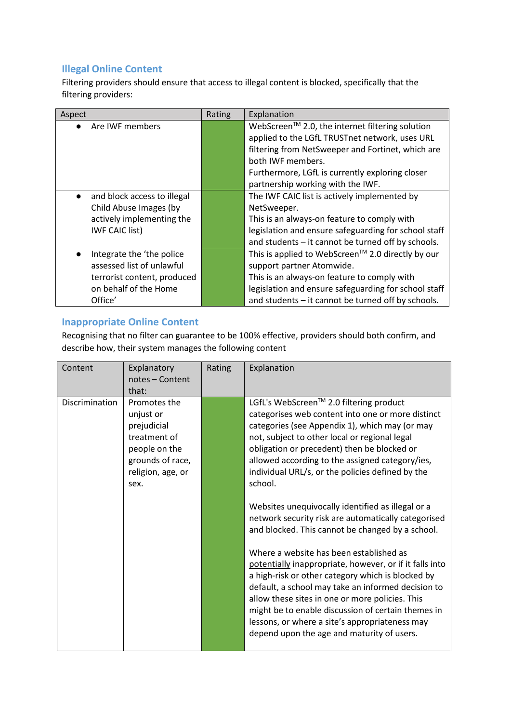#### **Illegal Online Content**

Filtering providers should ensure that access to illegal content is blocked, specifically that the filtering providers:

| Aspect                                   | Rating | Explanation                                          |
|------------------------------------------|--------|------------------------------------------------------|
| Are IWF members                          |        | WebScreen™ 2.0, the internet filtering solution      |
|                                          |        | applied to the LGfL TRUSTnet network, uses URL       |
|                                          |        | filtering from NetSweeper and Fortinet, which are    |
|                                          |        | both IWF members.                                    |
|                                          |        | Furthermore, LGfL is currently exploring closer      |
|                                          |        | partnership working with the IWF.                    |
| and block access to illegal<br>$\bullet$ |        | The IWF CAIC list is actively implemented by         |
| Child Abuse Images (by                   |        | NetSweeper.                                          |
| actively implementing the                |        | This is an always-on feature to comply with          |
| <b>IWF CAIC list)</b>                    |        | legislation and ensure safeguarding for school staff |
|                                          |        | and students - it cannot be turned off by schools.   |
| Integrate the 'the police<br>$\bullet$   |        | This is applied to WebScreen™ 2.0 directly by our    |
| assessed list of unlawful                |        | support partner Atomwide.                            |
| terrorist content, produced              |        | This is an always-on feature to comply with          |
| on behalf of the Home                    |        | legislation and ensure safeguarding for school staff |
| Office'                                  |        | and students - it cannot be turned off by schools.   |

### **Inappropriate Online Content**

Recognising that no filter can guarantee to be 100% effective, providers should both confirm, and describe how, their system manages the following content

| Content        | Explanatory<br>notes - Content<br>that:                                                                                    | Rating | Explanation                                                                                                                                                                                                                                                                                                                                                                                                                                                                                                                                                                                                                                                                                                                                                                                                                                                                                                                                                |
|----------------|----------------------------------------------------------------------------------------------------------------------------|--------|------------------------------------------------------------------------------------------------------------------------------------------------------------------------------------------------------------------------------------------------------------------------------------------------------------------------------------------------------------------------------------------------------------------------------------------------------------------------------------------------------------------------------------------------------------------------------------------------------------------------------------------------------------------------------------------------------------------------------------------------------------------------------------------------------------------------------------------------------------------------------------------------------------------------------------------------------------|
| Discrimination | Promotes the<br>unjust or<br>prejudicial<br>treatment of<br>people on the<br>grounds of race,<br>religion, age, or<br>sex. |        | LGfL's WebScreen™ 2.0 filtering product<br>categorises web content into one or more distinct<br>categories (see Appendix 1), which may (or may<br>not, subject to other local or regional legal<br>obligation or precedent) then be blocked or<br>allowed according to the assigned category/ies,<br>individual URL/s, or the policies defined by the<br>school.<br>Websites unequivocally identified as illegal or a<br>network security risk are automatically categorised<br>and blocked. This cannot be changed by a school.<br>Where a website has been established as<br>potentially inappropriate, however, or if it falls into<br>a high-risk or other category which is blocked by<br>default, a school may take an informed decision to<br>allow these sites in one or more policies. This<br>might be to enable discussion of certain themes in<br>lessons, or where a site's appropriateness may<br>depend upon the age and maturity of users. |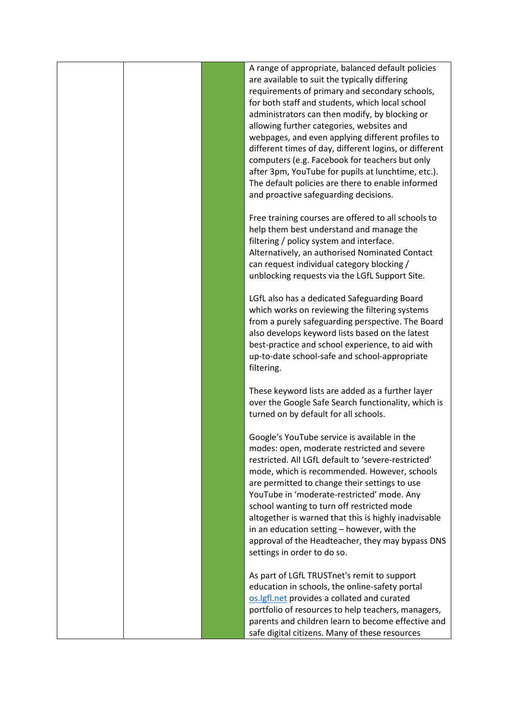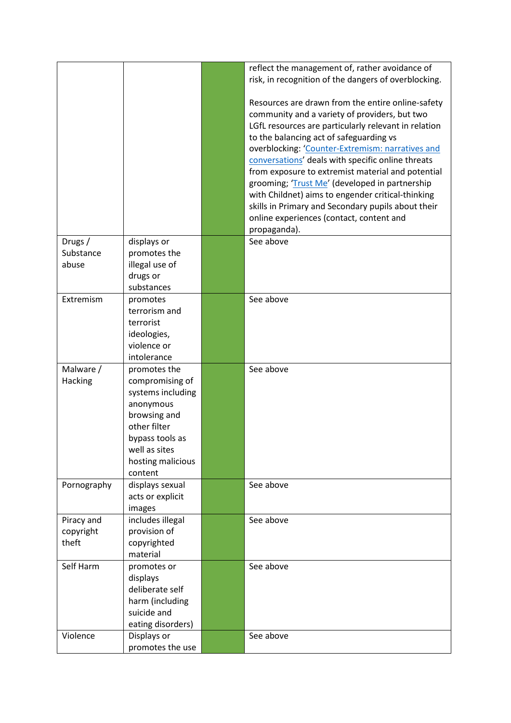|             |                   | reflect the management of, rather avoidance of       |
|-------------|-------------------|------------------------------------------------------|
|             |                   |                                                      |
|             |                   | risk, in recognition of the dangers of overblocking. |
|             |                   |                                                      |
|             |                   | Resources are drawn from the entire online-safety    |
|             |                   | community and a variety of providers, but two        |
|             |                   | LGfL resources are particularly relevant in relation |
|             |                   | to the balancing act of safeguarding vs              |
|             |                   | overblocking: 'Counter-Extremism: narratives and     |
|             |                   | conversations' deals with specific online threats    |
|             |                   | from exposure to extremist material and potential    |
|             |                   | grooming; 'Trust Me' (developed in partnership       |
|             |                   | with Childnet) aims to engender critical-thinking    |
|             |                   | skills in Primary and Secondary pupils about their   |
|             |                   | online experiences (contact, content and             |
|             |                   |                                                      |
|             |                   | propaganda).                                         |
| Drugs /     | displays or       | See above                                            |
| Substance   | promotes the      |                                                      |
| abuse       | illegal use of    |                                                      |
|             | drugs or          |                                                      |
|             | substances        |                                                      |
| Extremism   | promotes          | See above                                            |
|             | terrorism and     |                                                      |
|             | terrorist         |                                                      |
|             | ideologies,       |                                                      |
|             | violence or       |                                                      |
|             | intolerance       |                                                      |
| Malware /   | promotes the      | See above                                            |
| Hacking     | compromising of   |                                                      |
|             | systems including |                                                      |
|             |                   |                                                      |
|             | anonymous         |                                                      |
|             | browsing and      |                                                      |
|             | other filter      |                                                      |
|             | bypass tools as   |                                                      |
|             | well as sites     |                                                      |
|             | hosting malicious |                                                      |
|             | content           |                                                      |
| Pornography | displays sexual   | See above                                            |
|             | acts or explicit  |                                                      |
|             | images            |                                                      |
| Piracy and  | includes illegal  | See above                                            |
| copyright   | provision of      |                                                      |
| theft       | copyrighted       |                                                      |
|             | material          |                                                      |
| Self Harm   | promotes or       | See above                                            |
|             | displays          |                                                      |
|             | deliberate self   |                                                      |
|             | harm (including   |                                                      |
|             | suicide and       |                                                      |
|             |                   |                                                      |
|             | eating disorders) |                                                      |
| Violence    | Displays or       | See above                                            |
|             | promotes the use  |                                                      |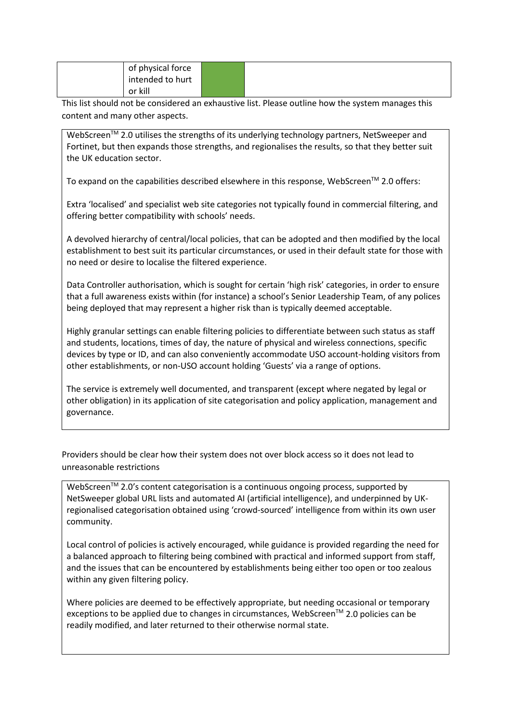|         | of physical force |  |
|---------|-------------------|--|
|         | intended to hurt  |  |
| or kill |                   |  |

This list should not be considered an exhaustive list. Please outline how the system manages this content and many other aspects.

WebScreen™ 2.0 utilises the strengths of its underlying technology partners, NetSweeper and Fortinet, but then expands those strengths, and regionalises the results, so that they better suit the UK education sector.

To expand on the capabilities described elsewhere in this response, WebScreen™ 2.0 offers:

Extra 'localised' and specialist web site categories not typically found in commercial filtering, and offering better compatibility with schools' needs.

A devolved hierarchy of central/local policies, that can be adopted and then modified by the local establishment to best suit its particular circumstances, or used in their default state for those with no need or desire to localise the filtered experience.

Data Controller authorisation, which is sought for certain 'high risk' categories, in order to ensure that a full awareness exists within (for instance) a school's Senior Leadership Team, of any polices being deployed that may represent a higher risk than is typically deemed acceptable.

Highly granular settings can enable filtering policies to differentiate between such status as staff and students, locations, times of day, the nature of physical and wireless connections, specific devices by type or ID, and can also conveniently accommodate USO account-holding visitors from other establishments, or non-USO account holding 'Guests' via a range of options.

The service is extremely well documented, and transparent (except where negated by legal or other obligation) in its application of site categorisation and policy application, management and governance.

Providers should be clear how their system does not over block access so it does not lead to unreasonable restrictions

WebScreen<sup>™</sup> 2.0's content categorisation is a continuous ongoing process, supported by NetSweeper global URL lists and automated AI (artificial intelligence), and underpinned by UKregionalised categorisation obtained using 'crowd-sourced' intelligence from within its own user community.

Local control of policies is actively encouraged, while guidance is provided regarding the need for a balanced approach to filtering being combined with practical and informed support from staff, and the issues that can be encountered by establishments being either too open or too zealous within any given filtering policy.

Where policies are deemed to be effectively appropriate, but needing occasional or temporary exceptions to be applied due to changes in circumstances, WebScreen<sup>TM</sup> 2.0 policies can be readily modified, and later returned to their otherwise normal state.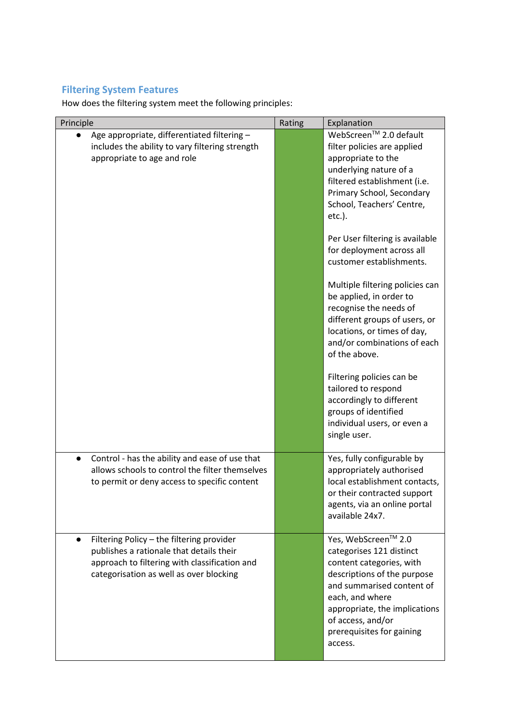## **Filtering System Features**

How does the filtering system meet the following principles:

| Principle                                                                                                                                                                                      | Rating | Explanation                                                                                                                                                                                                                                                                                                                                                                                                                                                                                                                                                                                                                                                          |
|------------------------------------------------------------------------------------------------------------------------------------------------------------------------------------------------|--------|----------------------------------------------------------------------------------------------------------------------------------------------------------------------------------------------------------------------------------------------------------------------------------------------------------------------------------------------------------------------------------------------------------------------------------------------------------------------------------------------------------------------------------------------------------------------------------------------------------------------------------------------------------------------|
| Age appropriate, differentiated filtering -<br>$\bullet$<br>includes the ability to vary filtering strength<br>appropriate to age and role                                                     |        | WebScreen™ 2.0 default<br>filter policies are applied<br>appropriate to the<br>underlying nature of a<br>filtered establishment (i.e.<br>Primary School, Secondary<br>School, Teachers' Centre,<br>etc.).<br>Per User filtering is available<br>for deployment across all<br>customer establishments.<br>Multiple filtering policies can<br>be applied, in order to<br>recognise the needs of<br>different groups of users, or<br>locations, or times of day,<br>and/or combinations of each<br>of the above.<br>Filtering policies can be<br>tailored to respond<br>accordingly to different<br>groups of identified<br>individual users, or even a<br>single user. |
| Control - has the ability and ease of use that<br>$\bullet$<br>allows schools to control the filter themselves<br>to permit or deny access to specific content                                 |        | Yes, fully configurable by<br>appropriately authorised<br>local establishment contacts,<br>or their contracted support<br>agents, via an online portal<br>available 24x7.                                                                                                                                                                                                                                                                                                                                                                                                                                                                                            |
| Filtering Policy - the filtering provider<br>$\bullet$<br>publishes a rationale that details their<br>approach to filtering with classification and<br>categorisation as well as over blocking |        | Yes, WebScreen™ 2.0<br>categorises 121 distinct<br>content categories, with<br>descriptions of the purpose<br>and summarised content of<br>each, and where<br>appropriate, the implications<br>of access, and/or<br>prerequisites for gaining<br>access.                                                                                                                                                                                                                                                                                                                                                                                                             |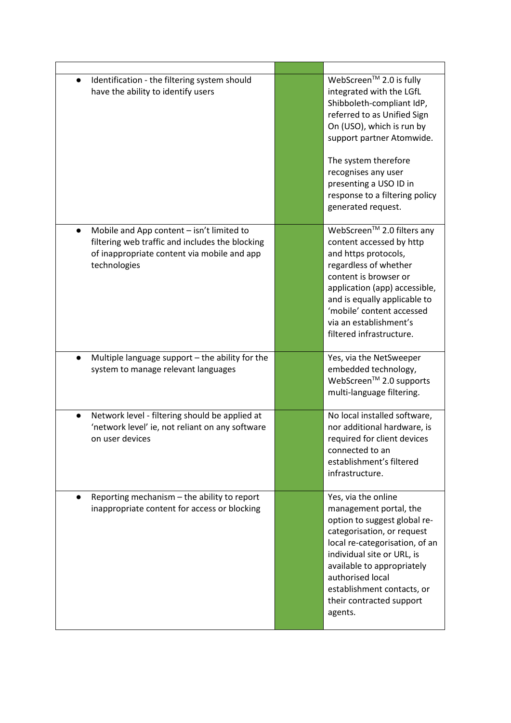| Identification - the filtering system should<br>have the ability to identify users                                                                          | WebScreen™ 2.0 is fully<br>integrated with the LGfL<br>Shibboleth-compliant IdP,<br>referred to as Unified Sign<br>On (USO), which is run by<br>support partner Atomwide.<br>The system therefore<br>recognises any user<br>presenting a USO ID in<br>response to a filtering policy<br>generated request. |
|-------------------------------------------------------------------------------------------------------------------------------------------------------------|------------------------------------------------------------------------------------------------------------------------------------------------------------------------------------------------------------------------------------------------------------------------------------------------------------|
| Mobile and App content - isn't limited to<br>filtering web traffic and includes the blocking<br>of inappropriate content via mobile and app<br>technologies | WebScreen™ 2.0 filters any<br>content accessed by http<br>and https protocols,<br>regardless of whether<br>content is browser or<br>application (app) accessible,<br>and is equally applicable to<br>'mobile' content accessed<br>via an establishment's<br>filtered infrastructure.                       |
| Multiple language support - the ability for the<br>system to manage relevant languages                                                                      | Yes, via the NetSweeper<br>embedded technology,<br>WebScreen <sup>™</sup> 2.0 supports<br>multi-language filtering.                                                                                                                                                                                        |
| Network level - filtering should be applied at<br>'network level' ie, not reliant on any software<br>on user devices                                        | No local installed software,<br>nor additional hardware, is<br>required for client devices<br>connected to an<br>establishment's filtered<br>infrastructure.                                                                                                                                               |
| Reporting mechanism - the ability to report<br>inappropriate content for access or blocking                                                                 | Yes, via the online<br>management portal, the<br>option to suggest global re-<br>categorisation, or request<br>local re-categorisation, of an<br>individual site or URL, is<br>available to appropriately<br>authorised local<br>establishment contacts, or<br>their contracted support<br>agents.         |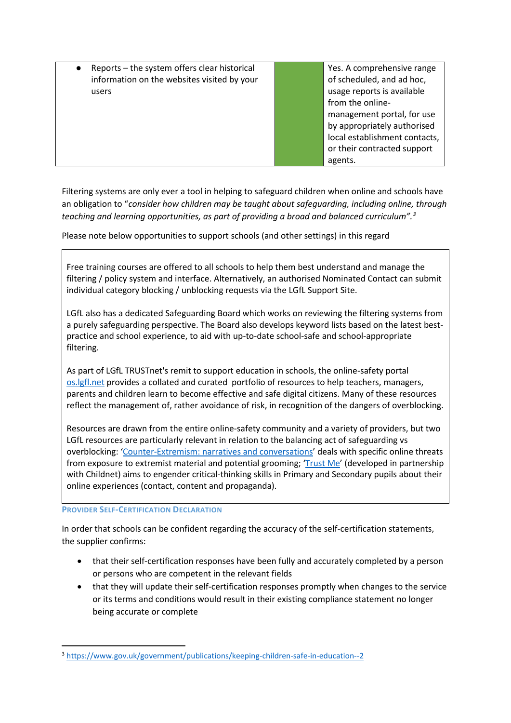$Reports - the system offers clear historical$ information on the websites visited by your users

Yes. A comprehensive range of scheduled, and ad hoc, usage reports is available from the onlinemanagement portal, for use by appropriately authorised local establishment contacts, or their contracted support agents.

Filtering systems are only ever a tool in helping to safeguard children when online and schools have an obligation to "*consider how children may be taught about safeguarding, including online, through teaching and learning opportunities, as part of providing a broad and balanced curriculum".[3](#page-7-0)*

Please note below opportunities to support schools (and other settings) in this regard

Free training courses are offered to all schools to help them best understand and manage the filtering / policy system and interface. Alternatively, an authorised Nominated Contact can submit individual category blocking / unblocking requests via the LGfL Support Site.

LGfL also has a dedicated Safeguarding Board which works on reviewing the filtering systems from a purely safeguarding perspective. The Board also develops keyword lists based on the latest bestpractice and school experience, to aid with up-to-date school-safe and school-appropriate filtering.

As part of LGfL TRUSTnet's remit to support education in schools, the online-safety portal [os.lgfl.net](http://os.lgfl.net/) provides a collated and curated portfolio of resources to help teachers, managers, parents and children learn to become effective and safe digital citizens. Many of these resources reflect the management of, rather avoidance of risk, in recognition of the dangers of overblocking.

Resources are drawn from the entire online-safety community and a variety of providers, but two LGfL resources are particularly relevant in relation to the balancing act of safeguarding vs overblocking: ['Counter-Extremism: narratives and conversations'](http://counter-extremism.lgfl.net/) deals with specific online threats from exposure to extremist material and potential grooming; '*Trust Me'* (developed in partnership with Childnet) aims to engender critical-thinking skills in Primary and Secondary pupils about their online experiences (contact, content and propaganda).

#### **PROVIDER SELF-CERTIFICATION DECLARATION**

In order that schools can be confident regarding the accuracy of the self-certification statements, the supplier confirms:

- that their self-certification responses have been fully and accurately completed by a person or persons who are competent in the relevant fields
- that they will update their self-certification responses promptly when changes to the service or its terms and conditions would result in their existing compliance statement no longer being accurate or complete

<span id="page-7-0"></span><sup>&</sup>lt;sup>3</sup> <https://www.gov.uk/government/publications/keeping-children-safe-in-education--2>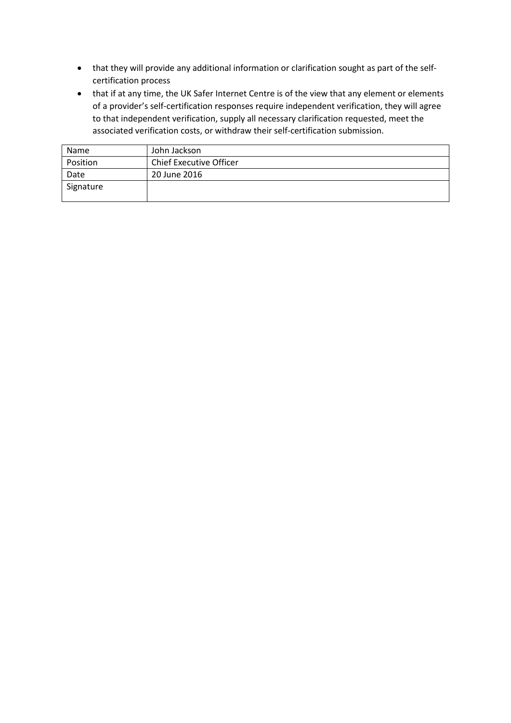- that they will provide any additional information or clarification sought as part of the selfcertification process
- that if at any time, the UK Safer Internet Centre is of the view that any element or elements of a provider's self-certification responses require independent verification, they will agree to that independent verification, supply all necessary clarification requested, meet the associated verification costs, or withdraw their self-certification submission.

| Name      | John Jackson                   |
|-----------|--------------------------------|
| Position  | <b>Chief Executive Officer</b> |
| Date      | 20 June 2016                   |
| Signature |                                |